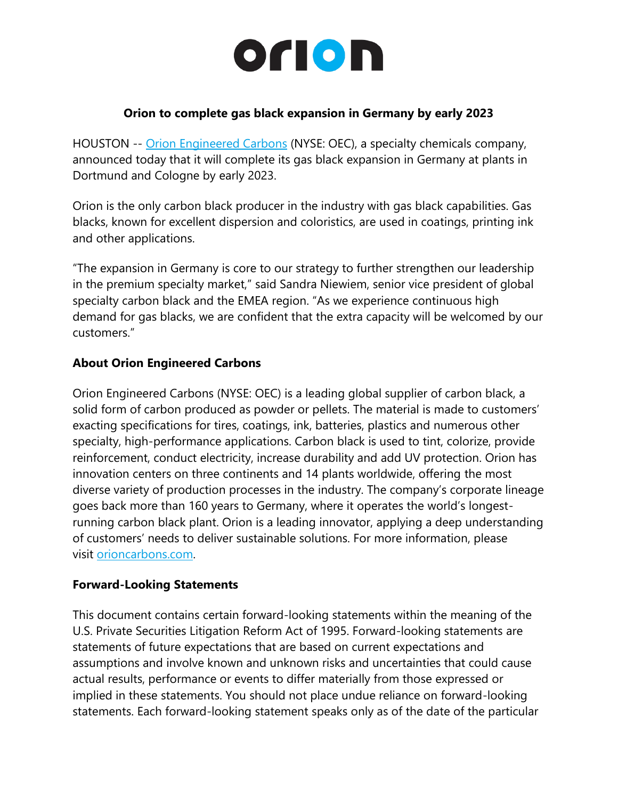## orion

## **Orion to complete gas black expansion in Germany by early 2023**

HOUSTON -- [Orion Engineered Carbons](https://cts.businesswire.com/ct/CT?id=smartlink&url=https%3A%2F%2Fwww.orioncarbons.com%2Findex_en.php&esheet=52730910&newsitemid=20220525005690&lan=en-US&anchor=Orion+Engineered+Carbons&index=1&md5=0b71267e5f836d0ebfb7e5c45229703e) (NYSE: OEC), a specialty chemicals company, announced today that it will complete its gas black expansion in Germany at plants in Dortmund and Cologne by early 2023.

Orion is the only carbon black producer in the industry with gas black capabilities. Gas blacks, known for excellent dispersion and coloristics, are used in coatings, printing ink and other applications.

"The expansion in Germany is core to our strategy to further strengthen our leadership in the premium specialty market," said Sandra Niewiem, senior vice president of global specialty carbon black and the EMEA region. "As we experience continuous high demand for gas blacks, we are confident that the extra capacity will be welcomed by our customers."

## **About Orion Engineered Carbons**

Orion Engineered Carbons (NYSE: OEC) is a leading global supplier of carbon black, a solid form of carbon produced as powder or pellets. The material is made to customers' exacting specifications for tires, coatings, ink, batteries, plastics and numerous other specialty, high-performance applications. Carbon black is used to tint, colorize, provide reinforcement, conduct electricity, increase durability and add UV protection. Orion has innovation centers on three continents and 14 plants worldwide, offering the most diverse variety of production processes in the industry. The company's corporate lineage goes back more than 160 years to Germany, where it operates the world's longestrunning carbon black plant. Orion is a leading innovator, applying a deep understanding of customers' needs to deliver sustainable solutions. For more information, please visit [orioncarbons.com.](https://cts.businesswire.com/ct/CT?id=smartlink&url=https%3A%2F%2Fwww.orioncarbons.com%2Findex_en.php&esheet=52730910&newsitemid=20220525005690&lan=en-US&anchor=orioncarbons.com&index=2&md5=601233d83a738b87d4d143b891d030d8)

## **Forward-Looking Statements**

This document contains certain forward-looking statements within the meaning of the U.S. Private Securities Litigation Reform Act of 1995. Forward-looking statements are statements of future expectations that are based on current expectations and assumptions and involve known and unknown risks and uncertainties that could cause actual results, performance or events to differ materially from those expressed or implied in these statements. You should not place undue reliance on forward-looking statements. Each forward-looking statement speaks only as of the date of the particular